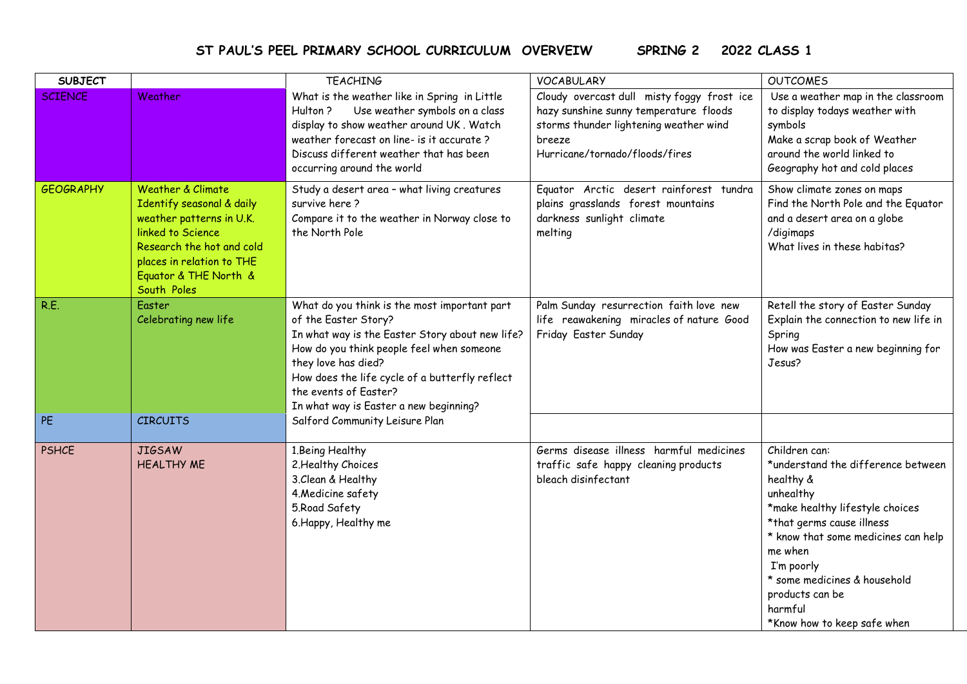## **ST PAUL'S PEEL PRIMARY SCHOOL CURRICULUM OVERVEIW SPRING 2 2022 CLASS 1**

| <b>SUBJECT</b>   |                                                                                                                                                                                                   | <b>TEACHING</b>                                                                                                                                                                                                                                                                                                  | <b>VOCABULARY</b>                                                                                                                                                          | <b>OUTCOMES</b>                                                                                                                                                                                                                                                                                            |
|------------------|---------------------------------------------------------------------------------------------------------------------------------------------------------------------------------------------------|------------------------------------------------------------------------------------------------------------------------------------------------------------------------------------------------------------------------------------------------------------------------------------------------------------------|----------------------------------------------------------------------------------------------------------------------------------------------------------------------------|------------------------------------------------------------------------------------------------------------------------------------------------------------------------------------------------------------------------------------------------------------------------------------------------------------|
| <b>SCIENCE</b>   | Weather                                                                                                                                                                                           | What is the weather like in Spring in Little<br>Use weather symbols on a class<br>Hulton?<br>display to show weather around UK. Watch<br>weather forecast on line- is it accurate?<br>Discuss different weather that has been<br>occurring around the world                                                      | Cloudy overcast dull misty foggy frost ice<br>hazy sunshine sunny temperature floods<br>storms thunder lightening weather wind<br>breeze<br>Hurricane/tornado/floods/fires | Use a weather map in the classroom<br>to display todays weather with<br>symbols<br>Make a scrap book of Weather<br>around the world linked to<br>Geography hot and cold places                                                                                                                             |
| <b>GEOGRAPHY</b> | Weather & Climate<br>Identify seasonal & daily<br>weather patterns in U.K.<br>linked to Science<br>Research the hot and cold<br>places in relation to THE<br>Equator & THE North &<br>South Poles | Study a desert area - what living creatures<br>survive here?<br>Compare it to the weather in Norway close to<br>the North Pole                                                                                                                                                                                   | Equator Arctic desert rainforest tundra<br>plains grasslands forest mountains<br>darkness sunlight climate<br>melting                                                      | Show climate zones on maps<br>Find the North Pole and the Equator<br>and a desert area on a globe<br>/digimaps<br>What lives in these habitas?                                                                                                                                                             |
| R.E.             | Easter<br>Celebrating new life                                                                                                                                                                    | What do you think is the most important part<br>of the Easter Story?<br>In what way is the Easter Story about new life?<br>How do you think people feel when someone<br>they love has died?<br>How does the life cycle of a butterfly reflect<br>the events of Easter?<br>In what way is Easter a new beginning? | Palm Sunday resurrection faith love new<br>life reawakening miracles of nature Good<br>Friday Easter Sunday                                                                | Retell the story of Easter Sunday<br>Explain the connection to new life in<br>Spring<br>How was Easter a new beginning for<br>Jesus?                                                                                                                                                                       |
| PE               | <b>CIRCUITS</b>                                                                                                                                                                                   | Salford Community Leisure Plan                                                                                                                                                                                                                                                                                   |                                                                                                                                                                            |                                                                                                                                                                                                                                                                                                            |
| <b>PSHCE</b>     | <b>JIGSAW</b><br><b>HEALTHY ME</b>                                                                                                                                                                | 1.Being Healthy<br>2. Healthy Choices<br>3. Clean & Healthy<br>4. Medicine safety<br>5. Road Safety<br>6. Happy, Healthy me                                                                                                                                                                                      | Germs disease illness harmful medicines<br>traffic safe happy cleaning products<br>bleach disinfectant                                                                     | Children can:<br>*understand the difference between<br>healthy &<br>unhealthy<br>*make healthy lifestyle choices<br>*that germs cause illness<br>* know that some medicines can help<br>me when<br>I'm poorly<br>* some medicines & household<br>products can be<br>harmful<br>*Know how to keep safe when |